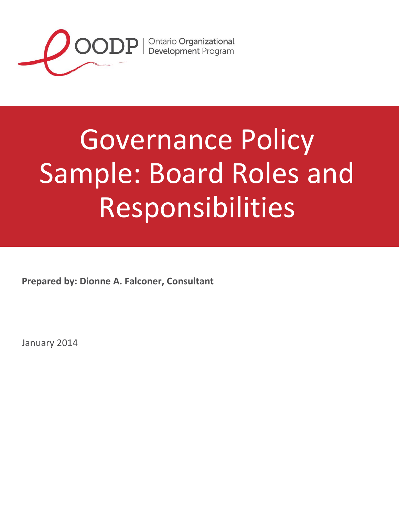

# Governance Policy Sample: Board Roles and Responsibilities

**Prepared by: Dionne A. Falconer, Consultant**

January 2014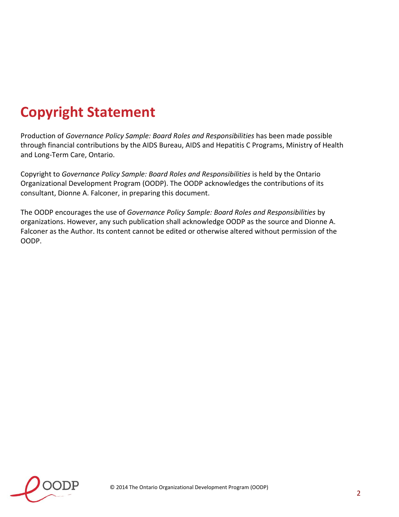## **Copyright Statement**

Production of *Governance Policy Sample: Board Roles and Responsibilities* has been made possible through financial contributions by the AIDS Bureau, AIDS and Hepatitis C Programs, Ministry of Health and Long-Term Care, Ontario.

Copyright to *Governance Policy Sample: Board Roles and Responsibilities* is held by the Ontario Organizational Development Program (OODP). The OODP acknowledges the contributions of its consultant, Dionne A. Falconer, in preparing this document.

The OODP encourages the use of *Governance Policy Sample: Board Roles and Responsibilities* by organizations. However, any such publication shall acknowledge OODP as the source and Dionne A. Falconer as the Author. Its content cannot be edited or otherwise altered without permission of the OODP.

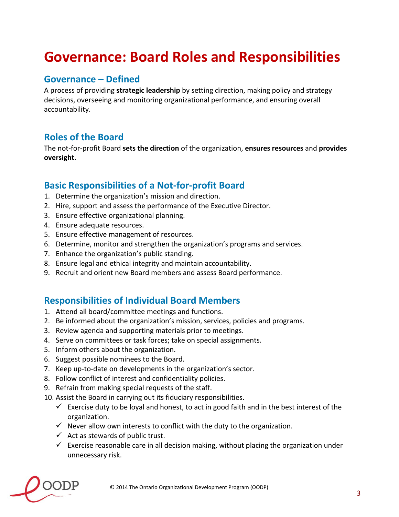## **Governance: Board Roles and Responsibilities**

### **Governance – Defined**

A process of providing **strategic leadership** by setting direction, making policy and strategy decisions, overseeing and monitoring organizational performance, and ensuring overall accountability.

### **Roles of the Board**

The not-for-profit Board **sets the direction** of the organization, **ensures resources** and **provides oversight**.

### **Basic Responsibilities of a Not-for-profit Board**

- 1. Determine the organization's mission and direction.
- 2. Hire, support and assess the performance of the Executive Director.
- 3. Ensure effective organizational planning.
- 4. Ensure adequate resources.
- 5. Ensure effective management of resources.
- 6. Determine, monitor and strengthen the organization's programs and services.
- 7. Enhance the organization's public standing.
- 8. Ensure legal and ethical integrity and maintain accountability.
- 9. Recruit and orient new Board members and assess Board performance.

#### **Responsibilities of Individual Board Members**

- 1. Attend all board/committee meetings and functions.
- 2. Be informed about the organization's mission, services, policies and programs.
- 3. Review agenda and supporting materials prior to meetings.
- 4. Serve on committees or task forces; take on special assignments.
- 5. Inform others about the organization.
- 6. Suggest possible nominees to the Board.
- 7. Keep up-to-date on developments in the organization's sector.
- 8. Follow conflict of interest and confidentiality policies.
- 9. Refrain from making special requests of the staff.
- 10. Assist the Board in carrying out its fiduciary responsibilities.
	- $\checkmark$  Exercise duty to be loyal and honest, to act in good faith and in the best interest of the organization.
	- $\checkmark$  Never allow own interests to conflict with the duty to the organization.
	- $\checkmark$  Act as stewards of public trust.
	- $\checkmark$  Exercise reasonable care in all decision making, without placing the organization under unnecessary risk.